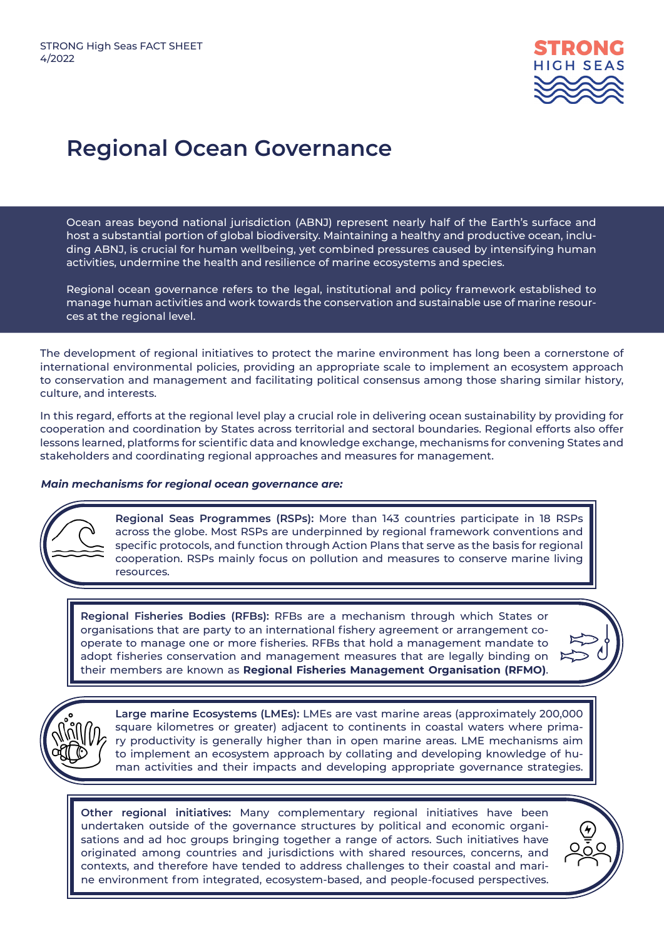

## **Regional Ocean Governance**

Ocean areas beyond national jurisdiction (ABNJ) represent nearly half of the Earth's surface and host a substantial portion of global biodiversity. Maintaining a healthy and productive ocean, including ABNJ, is crucial for human wellbeing, yet combined pressures caused by intensifying human activities, undermine the health and resilience of marine ecosystems and species.

Regional ocean governance refers to the legal, institutional and policy framework established to manage human activities and work towards the conservation and sustainable use of marine resources at the regional level.

The development of regional initiatives to protect the marine environment has long been a cornerstone of international environmental policies, providing an appropriate scale to implement an ecosystem approach to conservation and management and facilitating political consensus among those sharing similar history, culture, and interests.

In this regard, efforts at the regional level play a crucial role in delivering ocean sustainability by providing for cooperation and coordination by States across territorial and sectoral boundaries. Regional efforts also offer lessons learned, platforms for scientific data and knowledge exchange, mechanisms for convening States and stakeholders and coordinating regional approaches and measures for management.

## *Main mechanisms for regional ocean governance are:*



**Regional Seas Programmes (RSPs):** More than 143 countries participate in 18 RSPs across the globe. Most RSPs are underpinned by regional framework conventions and specific protocols, and function through Action Plans that serve as the basis for regional cooperation. RSPs mainly focus on pollution and measures to conserve marine living resources.

**Regional Fisheries Bodies (RFBs):** RFBs are a mechanism through which States or organisations that are party to an international fishery agreement or arrangement cooperate to manage one or more fisheries. RFBs that hold a management mandate to adopt fisheries conservation and management measures that are legally binding on their members are known as **Regional Fisheries Management Organisation (RFMO)**.



**Large marine Ecosystems (LMEs):** LMEs are vast marine areas (approximately 200,000 square kilometres or greater) adjacent to continents in coastal waters where primary productivity is generally higher than in open marine areas. LME mechanisms aim to implement an ecosystem approach by collating and developing knowledge of human activities and their impacts and developing appropriate governance strategies.

**Other regional initiatives:** Many complementary regional initiatives have been undertaken outside of the governance structures by political and economic organisations and ad hoc groups bringing together a range of actors. Such initiatives have originated among countries and jurisdictions with shared resources, concerns, and contexts, and therefore have tended to address challenges to their coastal and marine environment from integrated, ecosystem-based, and people-focused perspectives.